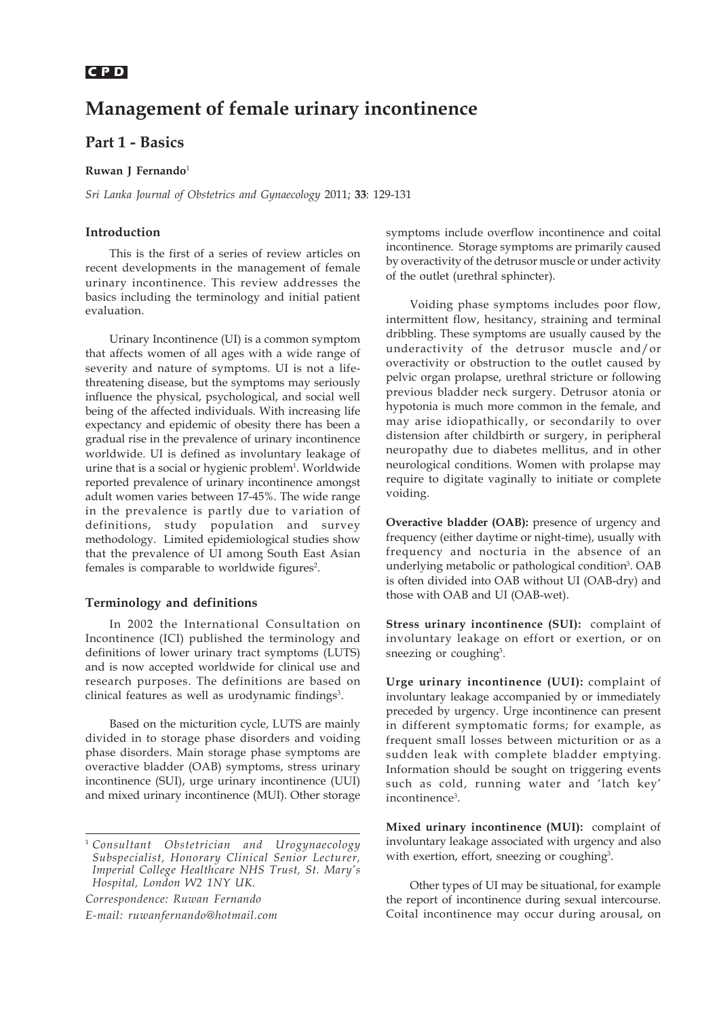# **C P D** *Management of female urinary incontinence – Basics*

# **Management of female urinary incontinence**

## **Part 1 - Basics**

#### **Ruwan J Fernando**<sup>1</sup>

*Sri Lanka Journal of Obstetrics and Gynaecology* 2011; **33**: 129-131

### **Introduction**

This is the first of a series of review articles on recent developments in the management of female urinary incontinence. This review addresses the basics including the terminology and initial patient evaluation.

Urinary Incontinence (UI) is a common symptom that affects women of all ages with a wide range of severity and nature of symptoms. UI is not a lifethreatening disease, but the symptoms may seriously influence the physical, psychological, and social well being of the affected individuals. With increasing life expectancy and epidemic of obesity there has been a gradual rise in the prevalence of urinary incontinence worldwide. UI is defined as involuntary leakage of urine that is a social or hygienic problem<sup>1</sup>. Worldwide reported prevalence of urinary incontinence amongst adult women varies between 17-45%. The wide range in the prevalence is partly due to variation of definitions, study population and survey methodology. Limited epidemiological studies show that the prevalence of UI among South East Asian females is comparable to worldwide figures<sup>2</sup>.

#### **Terminology and definitions**

In 2002 the International Consultation on Incontinence (ICI) published the terminology and definitions of lower urinary tract symptoms (LUTS) and is now accepted worldwide for clinical use and research purposes. The definitions are based on clinical features as well as urodynamic findings<sup>3</sup>.

Based on the micturition cycle, LUTS are mainly divided in to storage phase disorders and voiding phase disorders. Main storage phase symptoms are overactive bladder (OAB) symptoms, stress urinary incontinence (SUI), urge urinary incontinence (UUI) and mixed urinary incontinence (MUI). Other storage

*Correspondence: Ruwan Fernando E-mail: ruwanfernando@hotmail.com* symptoms include overflow incontinence and coital incontinence. Storage symptoms are primarily caused by overactivity of the detrusor muscle or under activity of the outlet (urethral sphincter).

Voiding phase symptoms includes poor flow, intermittent flow, hesitancy, straining and terminal dribbling. These symptoms are usually caused by the underactivity of the detrusor muscle and/or overactivity or obstruction to the outlet caused by pelvic organ prolapse, urethral stricture or following previous bladder neck surgery. Detrusor atonia or hypotonia is much more common in the female, and may arise idiopathically, or secondarily to over distension after childbirth or surgery, in peripheral neuropathy due to diabetes mellitus, and in other neurological conditions. Women with prolapse may require to digitate vaginally to initiate or complete voiding.

**Overactive bladder (OAB):** presence of urgency and frequency (either daytime or night-time), usually with frequency and nocturia in the absence of an underlying metabolic or pathological condition<sup>3</sup>. OAB is often divided into OAB without UI (OAB-dry) and those with OAB and UI (OAB-wet).

**Stress urinary incontinence (SUI):** complaint of involuntary leakage on effort or exertion, or on sneezing or coughing<sup>3</sup>.

**Urge urinary incontinence (UUI):** complaint of involuntary leakage accompanied by or immediately preceded by urgency. Urge incontinence can present in different symptomatic forms; for example, as frequent small losses between micturition or as a sudden leak with complete bladder emptying. Information should be sought on triggering events such as cold, running water and 'latch key' incontinence<sup>3</sup>.

**Mixed urinary incontinence (MUI):** complaint of involuntary leakage associated with urgency and also with exertion, effort, sneezing or coughing<sup>3</sup>.

Other types of UI may be situational, for example the report of incontinence during sexual intercourse. Coital incontinence may occur during arousal, on

<sup>1</sup> *Consultant Obstetrician and Urogynaecology Subspecialist, Honorary Clinical Senior Lecturer, Imperial College Healthcare NHS Trust, St. Mary's Hospital, London W2 1NY UK.*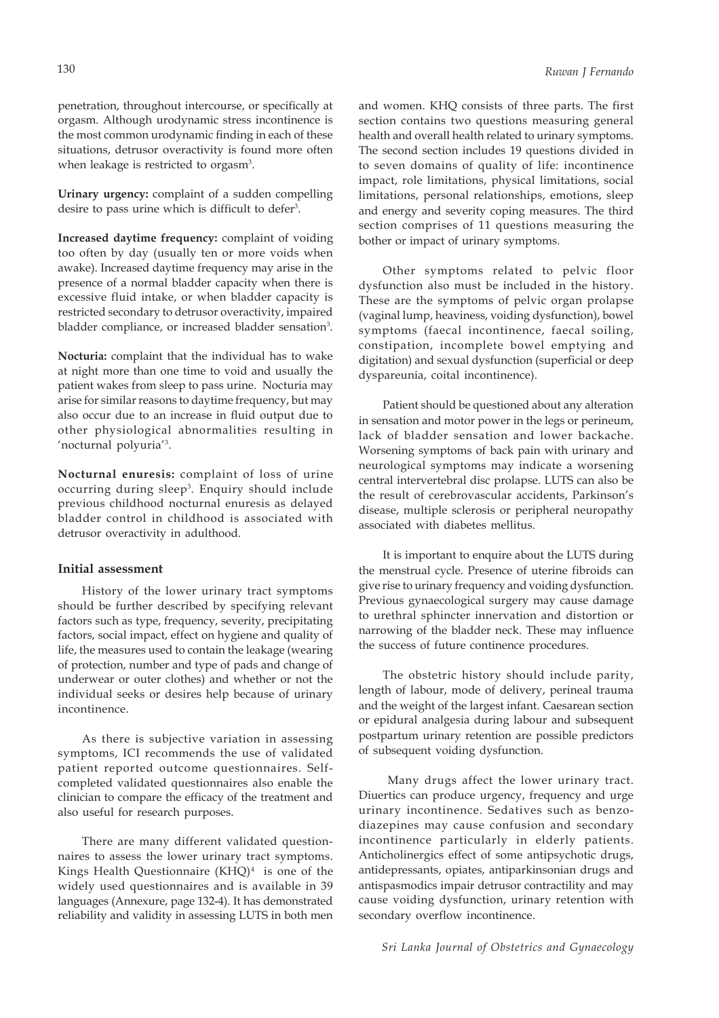penetration, throughout intercourse, or specifically at orgasm. Although urodynamic stress incontinence is the most common urodynamic finding in each of these situations, detrusor overactivity is found more often when leakage is restricted to orgasm<sup>3</sup>.

**Urinary urgency:** complaint of a sudden compelling desire to pass urine which is difficult to defer<sup>3</sup>.

**Increased daytime frequency:** complaint of voiding too often by day (usually ten or more voids when awake). Increased daytime frequency may arise in the presence of a normal bladder capacity when there is excessive fluid intake, or when bladder capacity is restricted secondary to detrusor overactivity, impaired bladder compliance, or increased bladder sensation<sup>3</sup>.

**Nocturia:** complaint that the individual has to wake at night more than one time to void and usually the patient wakes from sleep to pass urine. Nocturia may arise for similar reasons to daytime frequency, but may also occur due to an increase in fluid output due to other physiological abnormalities resulting in 'nocturnal polyuria'3 .

**Nocturnal enuresis:** complaint of loss of urine occurring during sleep3 . Enquiry should include previous childhood nocturnal enuresis as delayed bladder control in childhood is associated with detrusor overactivity in adulthood.

#### **Initial assessment**

History of the lower urinary tract symptoms should be further described by specifying relevant factors such as type, frequency, severity, precipitating factors, social impact, effect on hygiene and quality of life, the measures used to contain the leakage (wearing of protection, number and type of pads and change of underwear or outer clothes) and whether or not the individual seeks or desires help because of urinary incontinence.

As there is subjective variation in assessing symptoms, ICI recommends the use of validated patient reported outcome questionnaires. Selfcompleted validated questionnaires also enable the clinician to compare the efficacy of the treatment and also useful for research purposes.

There are many different validated questionnaires to assess the lower urinary tract symptoms. Kings Health Questionnaire  $(KHQ)^4$  is one of the widely used questionnaires and is available in 39 languages (Annexure, page 132-4). It has demonstrated reliability and validity in assessing LUTS in both men and women. KHQ consists of three parts. The first section contains two questions measuring general health and overall health related to urinary symptoms. The second section includes 19 questions divided in to seven domains of quality of life: incontinence impact, role limitations, physical limitations, social limitations, personal relationships, emotions, sleep and energy and severity coping measures. The third section comprises of 11 questions measuring the bother or impact of urinary symptoms.

Other symptoms related to pelvic floor dysfunction also must be included in the history. These are the symptoms of pelvic organ prolapse (vaginal lump, heaviness, voiding dysfunction), bowel symptoms (faecal incontinence, faecal soiling, constipation, incomplete bowel emptying and digitation) and sexual dysfunction (superficial or deep dyspareunia, coital incontinence).

Patient should be questioned about any alteration in sensation and motor power in the legs or perineum, lack of bladder sensation and lower backache. Worsening symptoms of back pain with urinary and neurological symptoms may indicate a worsening central intervertebral disc prolapse. LUTS can also be the result of cerebrovascular accidents, Parkinson's disease, multiple sclerosis or peripheral neuropathy associated with diabetes mellitus.

It is important to enquire about the LUTS during the menstrual cycle. Presence of uterine fibroids can give rise to urinary frequency and voiding dysfunction. Previous gynaecological surgery may cause damage to urethral sphincter innervation and distortion or narrowing of the bladder neck. These may influence the success of future continence procedures.

The obstetric history should include parity, length of labour, mode of delivery, perineal trauma and the weight of the largest infant. Caesarean section or epidural analgesia during labour and subsequent postpartum urinary retention are possible predictors of subsequent voiding dysfunction.

 Many drugs affect the lower urinary tract. Diuertics can produce urgency, frequency and urge urinary incontinence. Sedatives such as benzodiazepines may cause confusion and secondary incontinence particularly in elderly patients. Anticholinergics effect of some antipsychotic drugs, antidepressants, opiates, antiparkinsonian drugs and antispasmodics impair detrusor contractility and may cause voiding dysfunction, urinary retention with secondary overflow incontinence.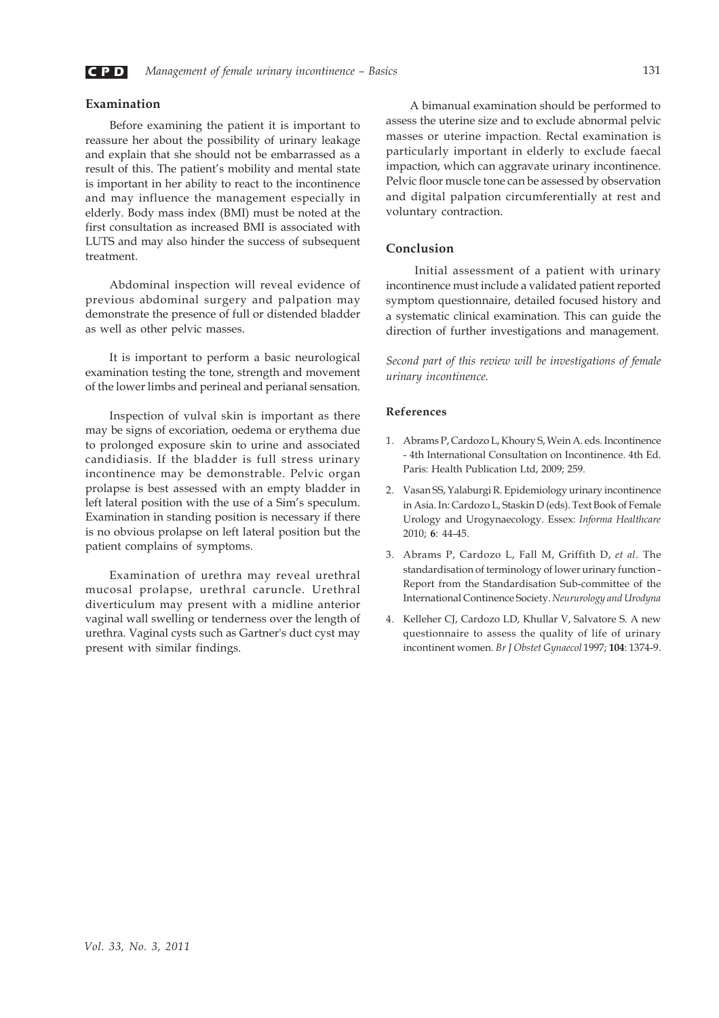

#### **Examination**

Before examining the patient it is important to reassure her about the possibility of urinary leakage and explain that she should not be embarrassed as a result of this. The patient's mobility and mental state is important in her ability to react to the incontinence and may influence the management especially in elderly. Body mass index (BMI) must be noted at the first consultation as increased BMI is associated with LUTS and may also hinder the success of subsequent treatment.

Abdominal inspection will reveal evidence of previous abdominal surgery and palpation may demonstrate the presence of full or distended bladder as well as other pelvic masses.

It is important to perform a basic neurological examination testing the tone, strength and movement of the lower limbs and perineal and perianal sensation.

Inspection of vulval skin is important as there may be signs of excoriation, oedema or erythema due to prolonged exposure skin to urine and associated candidiasis. If the bladder is full stress urinary incontinence may be demonstrable. Pelvic organ prolapse is best assessed with an empty bladder in left lateral position with the use of a Sim's speculum. Examination in standing position is necessary if there is no obvious prolapse on left lateral position but the patient complains of symptoms.

Examination of urethra may reveal urethral mucosal prolapse, urethral caruncle. Urethral diverticulum may present with a midline anterior vaginal wall swelling or tenderness over the length of urethra. Vaginal cysts such as Gartner's duct cyst may present with similar findings.

A bimanual examination should be performed to assess the uterine size and to exclude abnormal pelvic masses or uterine impaction. Rectal examination is particularly important in elderly to exclude faecal impaction, which can aggravate urinary incontinence. Pelvic floor muscle tone can be assessed by observation and digital palpation circumferentially at rest and voluntary contraction.

#### **Conclusion**

 Initial assessment of a patient with urinary incontinence must include a validated patient reported symptom questionnaire, detailed focused history and a systematic clinical examination. This can guide the direction of further investigations and management.

*Second part of this review will be investigations of female urinary incontinence.*

#### **References**

- 1. Abrams P, Cardozo L, Khoury S, Wein A. eds. Incontinence - 4th International Consultation on Incontinence. 4th Ed. Paris: Health Publication Ltd, 2009; 259.
- 2. Vasan SS, Yalaburgi R. Epidemiology urinary incontinence in Asia. In: Cardozo L, Staskin D (eds). Text Book of Female Urology and Urogynaecology. Essex: *Informa Healthcare* 2010; **6**: 44-45.
- 3. Abrams P, Cardozo L, Fall M, Griffith D, *et al*. The standardisation of terminology of lower urinary function - Report from the Standardisation Sub-committee of the International Continence Society. *Neururology and Urodyna*
- 4. Kelleher CJ, Cardozo LD, Khullar V, Salvatore S. A new questionnaire to assess the quality of life of urinary incontinent women. *Br J Obstet Gynaecol* 1997; **104**: 1374-9.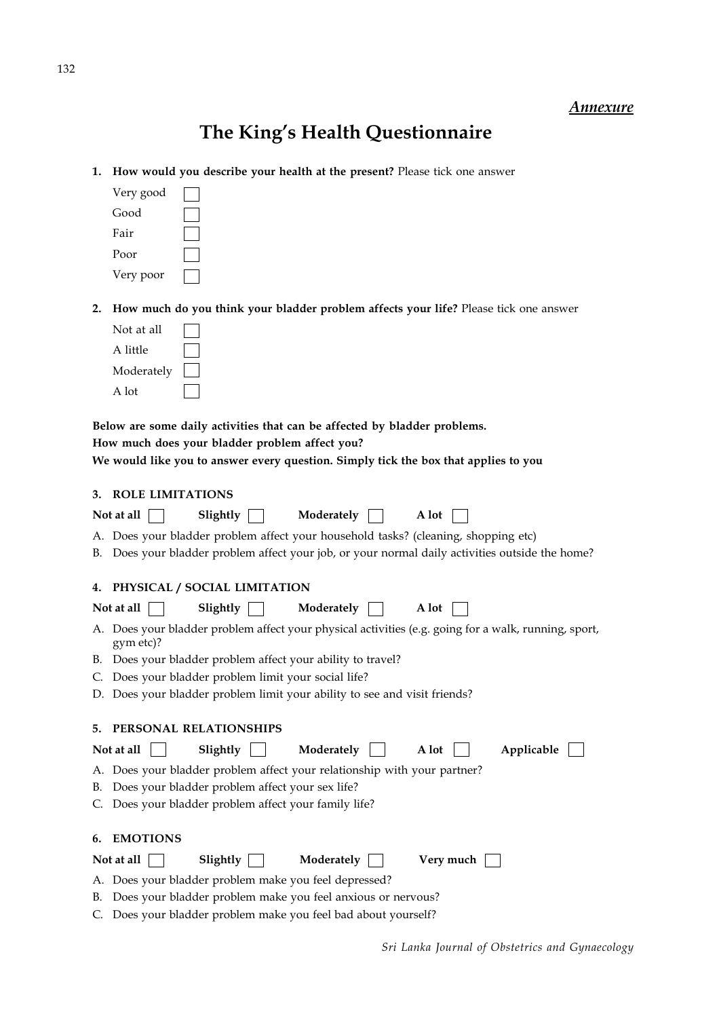# **The King's Health Questionnaire**

**1. How would you describe your health at the present?** Please tick one answer

| Very good |  |
|-----------|--|
| Good      |  |
| Fair      |  |
| Poor      |  |
| Very poor |  |

**2. How much do you think your bladder problem affects your life?** Please tick one answer

| Not at all |  |
|------------|--|
| A little   |  |
| Moderately |  |
| A lot      |  |

**Below are some daily activities that can be affected by bladder problems.**

**How much does your bladder problem affect you?**

**We would like you to answer every question. Simply tick the box that applies to you**

|    | 3. ROLE LIMITATIONS                                                                                               |
|----|-------------------------------------------------------------------------------------------------------------------|
|    | Not at all<br>Slightly<br>Moderately<br>A lot                                                                     |
|    | A. Does your bladder problem affect your household tasks? (cleaning, shopping etc)                                |
|    | B. Does your bladder problem affect your job, or your normal daily activities outside the home?                   |
|    | 4. PHYSICAL / SOCIAL LIMITATION                                                                                   |
|    | Moderately<br>Not at all<br>Slightly<br>A lot                                                                     |
|    | A. Does your bladder problem affect your physical activities (e.g. going for a walk, running, sport,<br>gym etc)? |
|    | B. Does your bladder problem affect your ability to travel?                                                       |
| C. | Does your bladder problem limit your social life?                                                                 |
|    | D. Does your bladder problem limit your ability to see and visit friends?                                         |
|    |                                                                                                                   |
| 5. | PERSONAL RELATIONSHIPS                                                                                            |
|    | Slightly<br>Moderately<br>Not at all<br>A lot<br>Applicable                                                       |
|    | A. Does your bladder problem affect your relationship with your partner?                                          |
| В. | Does your bladder problem affect your sex life?                                                                   |
|    | C. Does your bladder problem affect your family life?                                                             |
|    |                                                                                                                   |
|    | 6. EMOTIONS                                                                                                       |
|    | Slightly<br>Moderately<br>Very much<br>Not at all                                                                 |
|    | A. Does your bladder problem make you feel depressed?                                                             |
|    | B. Does your bladder problem make you feel anxious or nervous?                                                    |
|    | C. Does your bladder problem make you feel bad about yourself?                                                    |

132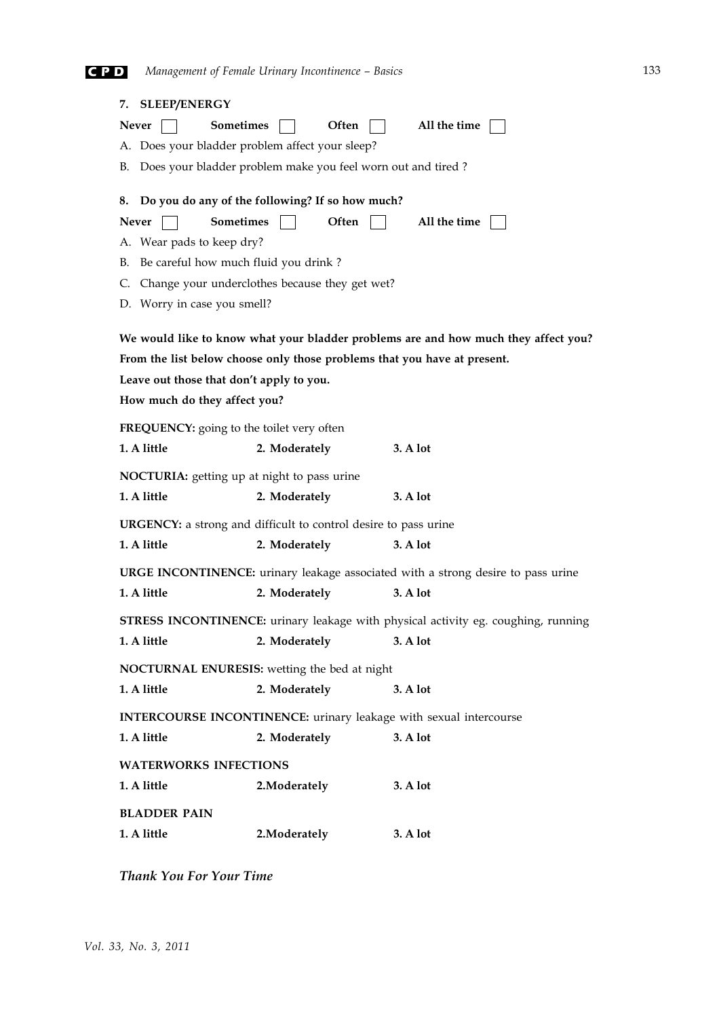# **C P D** *Management of Female Urinary Incontinence – Basics*

| 7. SLEEP/ENERGY                                                                          |                                                                |       |          |              |  |  |
|------------------------------------------------------------------------------------------|----------------------------------------------------------------|-------|----------|--------------|--|--|
| <b>Sometimes</b><br>Never                                                                |                                                                | Often |          | All the time |  |  |
| A. Does your bladder problem affect your sleep?                                          |                                                                |       |          |              |  |  |
|                                                                                          | B. Does your bladder problem make you feel worn out and tired? |       |          |              |  |  |
| 8. Do you do any of the following? If so how much?                                       |                                                                |       |          |              |  |  |
| <b>Sometimes</b><br><b>Never</b>                                                         |                                                                | Often |          | All the time |  |  |
| A. Wear pads to keep dry?                                                                |                                                                |       |          |              |  |  |
| B. Be careful how much fluid you drink?                                                  |                                                                |       |          |              |  |  |
| C. Change your underclothes because they get wet?                                        |                                                                |       |          |              |  |  |
| D. Worry in case you smell?                                                              |                                                                |       |          |              |  |  |
| We would like to know what your bladder problems are and how much they affect you?       |                                                                |       |          |              |  |  |
| From the list below choose only those problems that you have at present.                 |                                                                |       |          |              |  |  |
| Leave out those that don't apply to you.                                                 |                                                                |       |          |              |  |  |
| How much do they affect you?                                                             |                                                                |       |          |              |  |  |
| FREQUENCY: going to the toilet very often                                                |                                                                |       |          |              |  |  |
| 1. A little                                                                              | 2. Moderately                                                  |       |          | 3. A lot     |  |  |
| NOCTURIA: getting up at night to pass urine                                              |                                                                |       |          |              |  |  |
| 1. A little                                                                              | 2. Moderately                                                  |       |          | 3. A lot     |  |  |
| <b>URGENCY:</b> a strong and difficult to control desire to pass urine                   |                                                                |       |          |              |  |  |
| 1. A little                                                                              | 2. Moderately                                                  |       |          | 3. A lot     |  |  |
| <b>URGE INCONTINENCE:</b> urinary leakage associated with a strong desire to pass urine  |                                                                |       |          |              |  |  |
| 1. A little                                                                              | 2. Moderately                                                  |       |          | 3. A lot     |  |  |
| <b>STRESS INCONTINENCE:</b> urinary leakage with physical activity eg. coughing, running |                                                                |       |          |              |  |  |
| 1. A little                                                                              | 2. Moderately                                                  |       | 3. A lot |              |  |  |
| NOCTURNAL ENURESIS: wetting the bed at night                                             |                                                                |       |          |              |  |  |
| 1. A little                                                                              | 2. Moderately                                                  |       |          | 3. A lot     |  |  |
| <b>INTERCOURSE INCONTINENCE:</b> urinary leakage with sexual intercourse                 |                                                                |       |          |              |  |  |
| 1. A little                                                                              | 2. Moderately                                                  |       |          | 3. A lot     |  |  |
| <b>WATERWORKS INFECTIONS</b>                                                             |                                                                |       |          |              |  |  |
| 1. A little                                                                              | 2. Moderately                                                  |       |          | 3. A lot     |  |  |
| <b>BLADDER PAIN</b>                                                                      |                                                                |       |          |              |  |  |
| 1. A little                                                                              | 2. Moderately                                                  |       |          | 3. A lot     |  |  |

*Thank You For Your Time*